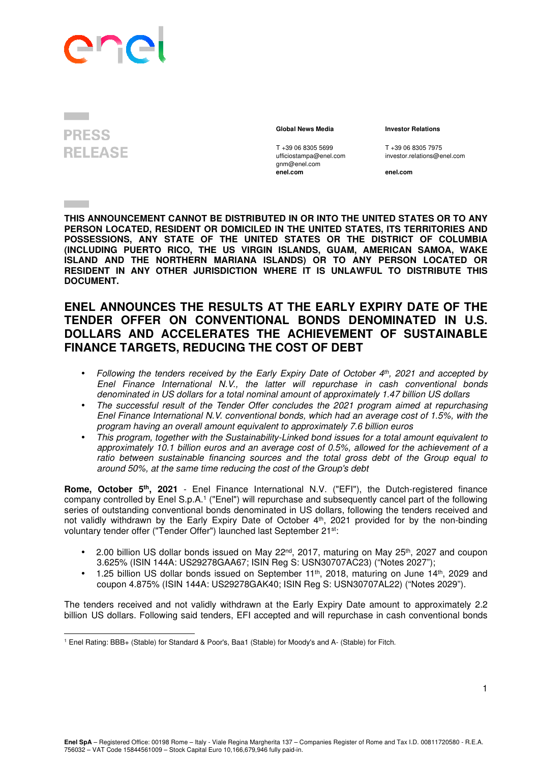## Ph

## **PRESS RELEASE**

T +39 06 8305 5699 T +39 06 8305 7975<br>
ufficiostampa@enel.com investor.relations@e gnm@enel.com<br>enel.com

 **Global News Media Investor Relations** 

investor.relations@enel.com

**enel.com enel.com**

**THIS ANNOUNCEMENT CANNOT BE DISTRIBUTED IN OR INTO THE UNITED STATES OR TO ANY PERSON LOCATED, RESIDENT OR DOMICILED IN THE UNITED STATES, ITS TERRITORIES AND POSSESSIONS, ANY STATE OF THE UNITED STATES OR THE DISTRICT OF COLUMBIA (INCLUDING PUERTO RICO, THE US VIRGIN ISLANDS, GUAM, AMERICAN SAMOA, WAKE ISLAND AND THE NORTHERN MARIANA ISLANDS) OR TO ANY PERSON LOCATED OR RESIDENT IN ANY OTHER JURISDICTION WHERE IT IS UNLAWFUL TO DISTRIBUTE THIS DOCUMENT.** 

## **ENEL ANNOUNCES THE RESULTS AT THE EARLY EXPIRY DATE OF THE TENDER OFFER ON CONVENTIONAL BONDS DENOMINATED IN U.S. DOLLARS AND ACCELERATES THE ACHIEVEMENT OF SUSTAINABLE FINANCE TARGETS, REDUCING THE COST OF DEBT**

- Following the tenders received by the Early Expiry Date of October  $4<sup>th</sup>$ , 2021 and accepted by Enel Finance International N.V., the latter will repurchase in cash conventional bonds denominated in US dollars for a total nominal amount of approximately 1.47 billion US dollars
- The successful result of the Tender Offer concludes the 2021 program aimed at repurchasing Enel Finance International N.V. conventional bonds, which had an average cost of 1.5%, with the program having an overall amount equivalent to approximately 7.6 billion euros
- This program, together with the Sustainability-Linked bond issues for a total amount equivalent to approximately 10.1 billion euros and an average cost of 0.5%, allowed for the achievement of a ratio between sustainable financing sources and the total gross debt of the Group equal to around 50%, at the same time reducing the cost of the Group's debt

**Rome, October 5th, 2021** - Enel Finance International N.V. ("EFI"), the Dutch-registered finance company controlled by Enel S.p.A.<sup>1</sup> ("Enel") will repurchase and subsequently cancel part of the following series of outstanding conventional bonds denominated in US dollars, following the tenders received and not validly withdrawn by the Early Expiry Date of October 4th, 2021 provided for by the non-binding voluntary tender offer ("Tender Offer") launched last September 21<sup>st</sup>:

- 2.00 billion US dollar bonds issued on May 22<sup>nd</sup>, 2017, maturing on May 25<sup>th</sup>, 2027 and coupon 3.625% (ISIN 144A: US29278GAA67; ISIN Reg S: USN30707AC23) ("Notes 2027");
- $\bullet$  1.25 billion US dollar bonds issued on September 11<sup>th</sup>, 2018, maturing on June 14<sup>th</sup>, 2029 and coupon 4.875% (ISIN 144A: US29278GAK40; ISIN Reg S: USN30707AL22) ("Notes 2029").

The tenders received and not validly withdrawn at the Early Expiry Date amount to approximately 2.2 billion US dollars. Following said tenders, EFI accepted and will repurchase in cash conventional bonds

<sup>1</sup> Enel Rating: BBB+ (Stable) for Standard & Poor's, Baa1 (Stable) for Moody's and A- (Stable) for Fitch.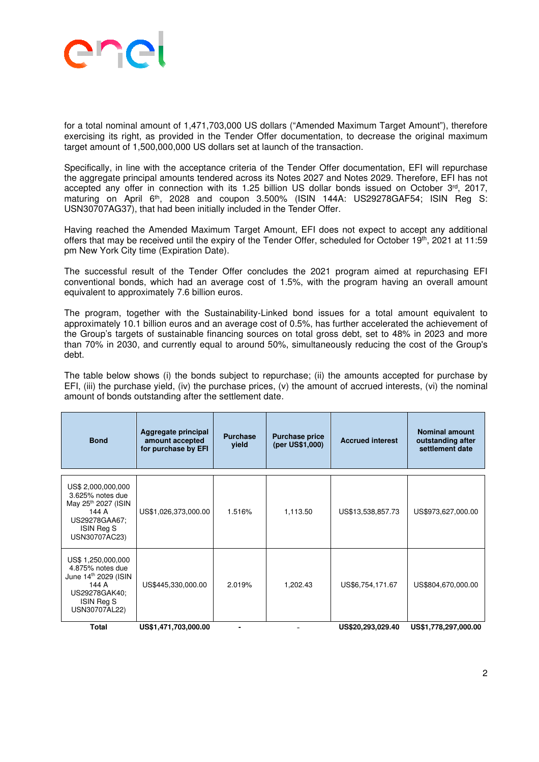

for a total nominal amount of 1,471,703,000 US dollars ("Amended Maximum Target Amount"), therefore exercising its right, as provided in the Tender Offer documentation, to decrease the original maximum target amount of 1,500,000,000 US dollars set at launch of the transaction.

Specifically, in line with the acceptance criteria of the Tender Offer documentation, EFI will repurchase the aggregate principal amounts tendered across its Notes 2027 and Notes 2029. Therefore, EFI has not accepted any offer in connection with its 1.25 billion US dollar bonds issued on October 3rd, 2017, maturing on April 6<sup>th</sup>, 2028 and coupon 3.500% (ISIN 144A: US29278GAF54; ISIN Reg S: USN30707AG37), that had been initially included in the Tender Offer.

Having reached the Amended Maximum Target Amount, EFI does not expect to accept any additional offers that may be received until the expiry of the Tender Offer, scheduled for October 19th, 2021 at 11:59 pm New York City time (Expiration Date).

The successful result of the Tender Offer concludes the 2021 program aimed at repurchasing EFI conventional bonds, which had an average cost of 1.5%, with the program having an overall amount equivalent to approximately 7.6 billion euros.

The program, together with the Sustainability-Linked bond issues for a total amount equivalent to approximately 10.1 billion euros and an average cost of 0.5%, has further accelerated the achievement of the Group's targets of sustainable financing sources on total gross debt, set to 48% in 2023 and more than 70% in 2030, and currently equal to around 50%, simultaneously reducing the cost of the Group's debt.

The table below shows (i) the bonds subject to repurchase; (ii) the amounts accepted for purchase by EFI, (iii) the purchase yield, (iv) the purchase prices, (v) the amount of accrued interests, (vi) the nominal amount of bonds outstanding after the settlement date.

| <b>Bond</b>                                                                                                                        | Aggregate principal<br>amount accepted<br>for purchase by EFI | <b>Purchase</b><br>vield | <b>Purchase price</b><br>(per US\$1,000) | <b>Accrued interest</b> | <b>Nominal amount</b><br>outstanding after<br>settlement date |
|------------------------------------------------------------------------------------------------------------------------------------|---------------------------------------------------------------|--------------------------|------------------------------------------|-------------------------|---------------------------------------------------------------|
| US\$ 2,000,000,000<br>3.625% notes due<br>May 25 <sup>th</sup> 2027 (ISIN<br>144 A<br>US29278GAA67;<br>ISIN Reg S<br>USN30707AC23) | US\$1,026,373,000.00                                          | 1.516%                   | 1,113.50                                 | US\$13,538,857.73       | US\$973,627,000.00                                            |
| US\$ 1,250,000,000<br>4.875% notes due<br>June 14th 2029 (ISIN<br>144 A<br>US29278GAK40;<br>ISIN Reg S<br>USN30707AL22)            | US\$445,330,000.00                                            | 2.019%                   | 1,202.43                                 | US\$6,754,171.67        | US\$804,670,000.00                                            |
| <b>Total</b>                                                                                                                       | US\$1,471,703,000.00                                          |                          |                                          | US\$20,293,029.40       | US\$1,778,297,000.00                                          |